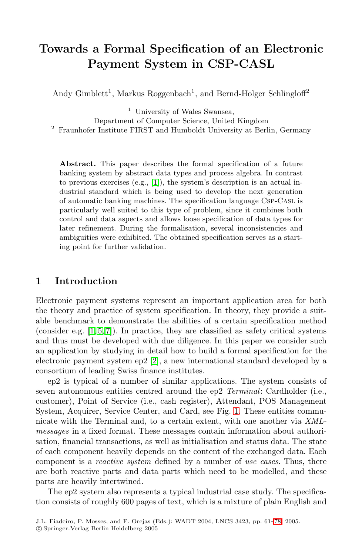# **Towards a Formal Specification of an Electronic Payment System in CSP-CASL**

Andy Gimblett<sup>1</sup>, Markus Roggenbach<sup>1</sup>, and Bernd-Holger Schlingloff<sup>2</sup>

<sup>1</sup> University of Wales Swansea,

Department of Computer Science, United Kingdom

<sup>2</sup> Fraunhofer Institute FIRST and Humboldt University at Berlin, Germany

**Abstract.** This paper describes the formal specification of a future banking system by abstract data types and process algebra. In contrast to previous exercises (e.g., [\[1\]](#page-16-0)), the system's description is an actual industrial standard which is being used to develop the next generation of automatic banking machines. The specification language Csp-Casl is particularly well suited to this type of problem, since it combines both control and data aspects and allows loose specification of data types for later refinement. During the formalisation, several inconsistencies and ambiguities were exhibited. The obtained specification serves as a starting point for further validation.

## **1 Introduction**

Electronic payment systems represent an important application area for both the theory and practice of system specification. In theory, they provide a suitable benchmark to demonstrate the abilities of a certain specification method (consider e.g.  $[1, 5, 7]$ ). In practice, they are classified as safety critical systems and thus must be developed with due diligence. In this paper we consider such an application by studying in detail how to build a formal specification for the electronic payment system ep2 [\[2\]](#page-16-0), a new international standard developed by a consortium of leading Swiss finance institutes.

ep2 is typical of a number of similar applications. The system consists of seven autonomous entities centred around the ep2 *Terminal*: Cardholder (i.e., customer), Point of Service (i.e., cash register), Attendant, POS Management System, Acquirer, Service Center, and Card, see Fig. [1.](#page-2-0) These entities communicate with the Terminal and, to a certain extent, with one another via *XMLmessages* in a fixed format. These messages contain information about authorisation, financial transactions, as well as initialisation and status data. The state of each component heavily depends on the content of the exchanged data. Each component is a *reactive system* defined by a number of *use cases*. Thus, there are both reactive parts and data parts which need to be modelled, and these parts are heavily intertwined.

The ep2 system also represents a typical industrial case study. The specification consists of roughly 600 pages of text, which is a mixture of plain English and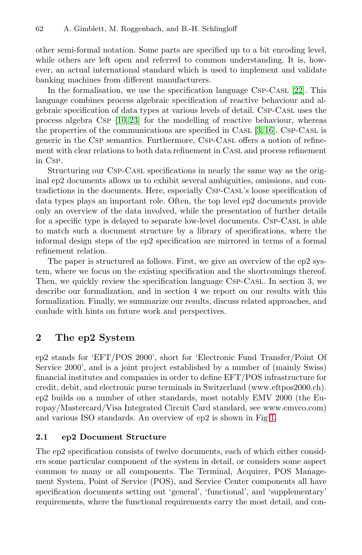other semi-formal notation. Some parts are specified up to a bit encoding level, while others are left open and referred to common understanding. It is, however, an actual international standard which is used to implement and validate banking machines from different manufacturers.

In the formalisation, we use the specification language Csp-Casl [\[22\]](#page-17-0). This language combines process algebraic specification of reactive behaviour and algebraic specification of data types at various levels of detail. Csp-Casl uses the process algebra  $CSP$  [\[10,](#page-16-0) [23\]](#page-17-0) for the modelling of reactive behaviour, whereas the properties of the communications are specified in CASL  $[3, 16]$  $[3, 16]$ . Csp-CASL is generic in the Csp semantics. Furthermore, Csp-Casl offers a notion of refinement with clear relations to both data refinement in Casl and process refinement in Csp.

Structuring our Csp-Casl specifications in nearly the same way as the original ep2 documents allows us to exhibit several ambiguities, omissions, and contradictions in the documents. Here, especially Csp-Casl's loose specification of data types plays an important role. Often, the top level ep2 documents provide only an overview of the data involved, while the presentation of further details for a specific type is delayed to separate low-level documents. Csp-Casl is able to match such a document structure by a library of specifications, where the informal design steps of the ep2 specification are mirrored in terms of a formal refinement relation.

The paper is structured as follows. First, we give an overview of the ep2 system, where we focus on the existing specification and the shortcomings thereof. Then, we quickly review the specification language Csp-Casl. In section 3, we describe our formalization, and in section 4 we report on our results with this formalization. Finally, we summarize our results, discuss related approaches, and conlude with hints on future work and perspectives.

## **2 The ep2 System**

ep2 stands for 'EFT/POS 2000', short for 'Electronic Fund Transfer/Point Of Service 2000', and is a joint project established by a number of (mainly Swiss) financial institutes and companies in order to define EFT/POS infrastructure for credit, debit, and electronic purse terminals in Switzerland (www.eftpos2000.ch). ep2 builds on a number of other standards, most notably EMV 2000 (the Europay/Mastercard/Visa Integrated Circuit Card standard, see www.emvco.com) and various ISO standards. An overview of ep2 is shown in Fig [1.](#page-2-0)

## **2.1 ep2 Document Structure**

The ep2 specification consists of twelve documents, each of which either considers some particular component of the system in detail, or considers some aspect common to many or all components. The Terminal, Acquirer, POS Management System, Point of Service (POS), and Service Center components all have specification documents setting out 'general', 'functional', and 'supplementary' requirements, where the functional requirements carry the most detail, and con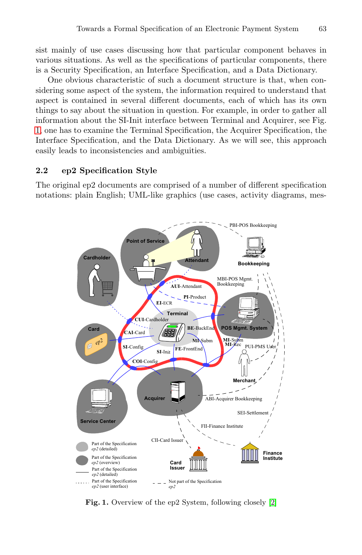<span id="page-2-0"></span>sist mainly of use cases discussing how that particular component behaves in various situations. As well as the specifications of particular components, there is a Security Specification, an Interface Specification, and a Data Dictionary.

One obvious characteristic of such a document structure is that, when considering some aspect of the system, the information required to understand that aspect is contained in several different documents, each of which has its own things to say about the situation in question. For example, in order to gather all information about the SI-Init interface between Terminal and Acquirer, see Fig. 1, one has to examine the Terminal Specification, the Acquirer Specification, the Interface Specification, and the Data Dictionary. As we will see, this approach easily leads to inconsistencies and ambiguities.

#### **2.2 ep2 Specification Style**

The original ep2 documents are comprised of a number of different specification notations: plain English; UML-like graphics (use cases, activity diagrams, mes-



**Fig. 1.** Overview of the ep2 System, following closely [\[2\]](#page-16-0)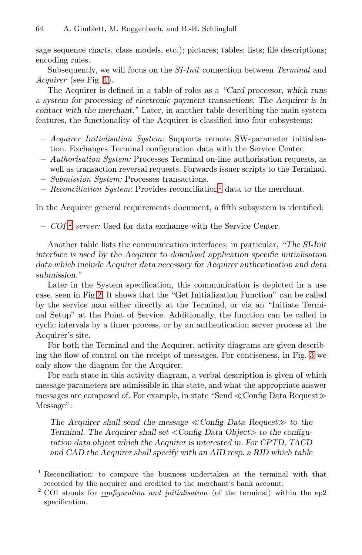sage sequence charts, class models, etc.); pictures; tables; lists; file descriptions; encoding rules.

Subsequently, we will focus on the *SI-Init* connection between *Terminal* and *Acquirer* (see Fig. [1\)](#page-2-0).

The Acquirer is defined in a table of roles as a *"Card processor, which runs a system for processing of electronic payment transactions. The Acquirer is in contact with the merchant."* Later, in another table describing the main system features, the functionality of the Acquirer is classified into four subsystems:

- **–** *Acquirer Initialisation System:* Supports remote SW-parameter initialisation. Exchanges Terminal configuration data with the Service Center.
- **–** *Authorisation System:* Processes Terminal on-line authorisation requests, as well as transaction reversal requests. Forwards issuer scripts to the Terminal.
- **–** *Submission System:* Processes transactions.
- *Reconciliation System:* Provides reconciliation<sup>1</sup> data to the merchant.

In the Acquirer general requirements document, a fifth subsystem is identified:

**–** *COI* <sup>2</sup> *server:* Used for data exchange with the Service Center.

Another table lists the communication interfaces; in particular, *"The SI-Init interface is used by the Acquirer to download application specific initialisation data which include Acquirer data necessary for Acquirer authentication and data submission."*

Later in the System specification, this communication is depicted in a use case, seen in Fig [2.](#page-4-0) It shows that the "Get Initialization Function" can be called by the service man either directly at the Terminal, or via an "Initiate Terminal Setup" at the Point of Service. Additionally, the function can be called in cyclic intervals by a timer process, or by an authentication server process at the Acquirer's site.

For both the Terminal and the Acquirer, activity diagrams are given describing the flow of control on the receipt of messages. For conciseness, in Fig. [3](#page-4-0) we only show the diagram for the Acquirer.

For each state in this activity diagram, a verbal description is given of which message parameters are admissible in this state, and what the appropriate answer messages are composed of. For example, in state "Send  $\ll$ Config Data Request $\gg$ Message":

*The Acquirer shall send the message Config Data Request*- *to the Terminal. The Acquirer shall set* <*Config Data Object*> *to the configuration data object which the Acquirer is interested in. For CPTD, TACD and CAD the Acquirer shall specify with an AID resp. a RID which table*

<sup>1</sup> Reconciliation: to compare the business undertaken at the terminal with that recorded by the acquirer and credited to the merchant's bank account.

 $2$  COI stands for *configuration and initialisation* (of the terminal) within the ep2 specification.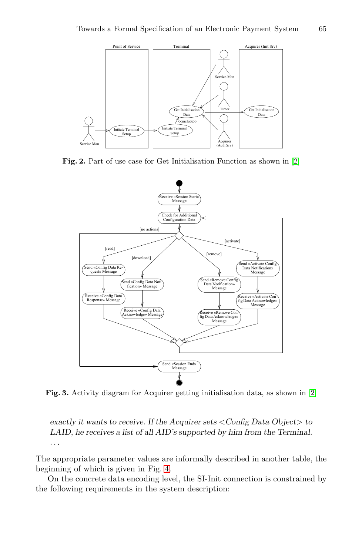<span id="page-4-0"></span>

**Fig. 2.** Part of use case for Get Initialisation Function as shown in [\[2\]](#page-16-0)



**Fig. 3.** Activity diagram for Acquirer getting initialisation data, as shown in [\[2\]](#page-16-0)

*exactly it wants to receive. If the Acquirer sets* <*Config Data Object*> *to LAID, he receives a list of all AID's supported by him from the Terminal. ...*

The appropriate parameter values are informally described in another table, the beginning of which is given in Fig. [4.](#page-5-0)

On the concrete data encoding level, the SI-Init connection is constrained by the following requirements in the system description: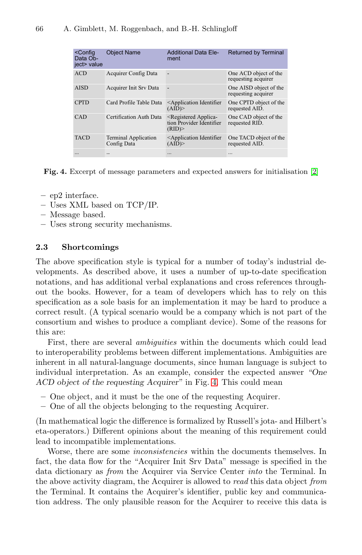<span id="page-5-0"></span>

| <config<br>Data Ob-<br/>ject&gt; value</config<br> | <b>Object Name</b>                         | <b>Additional Data Ele-</b><br>ment                                        | <b>Returned by Terminal</b>                   |
|----------------------------------------------------|--------------------------------------------|----------------------------------------------------------------------------|-----------------------------------------------|
| ACD                                                | <b>Acquirer Config Data</b>                |                                                                            | One ACD object of the<br>requesting acquirer  |
| <b>AISD</b>                                        | Acquirer Init Srv Data                     |                                                                            | One AISD object of the<br>requesting acquirer |
| <b>CPTD</b>                                        | Card Profile Table Data                    | <application identifier<br="">(AID)</application>                          | One CPTD object of the<br>requested AID.      |
| CAD                                                | Certification Auth Data                    | <registered applica-<br="">tion Provider Identifier<br/>(RID)</registered> | One CAD object of the<br>requested RID.       |
| <b>TACD</b>                                        | <b>Terminal Application</b><br>Config Data | <application identifier<br="">(AID)</application>                          | One TACD object of the<br>requested AID.      |
| $\ddotsc$                                          | $\cdots$                                   | $\cdots$                                                                   | $\ddotsc$                                     |

**Fig. 4.** Excerpt of message parameters and expected answers for initialisation [\[2\]](#page-16-0)

- **–** ep2 interface.
- **–** Uses XML based on TCP/IP.
- **–** Message based.
- **–** Uses strong security mechanisms.

#### **2.3 Shortcomings**

The above specification style is typical for a number of today's industrial developments. As described above, it uses a number of up-to-date specification notations, and has additional verbal explanations and cross references throughout the books. However, for a team of developers which has to rely on this specification as a sole basis for an implementation it may be hard to produce a correct result. (A typical scenario would be a company which is not part of the consortium and wishes to produce a compliant device). Some of the reasons for this are:

First, there are several *ambiguities* within the documents which could lead to interoperability problems between different implementations. Ambiguities are inherent in all natural-language documents, since human language is subject to individual interpretation. As an example, consider the expected answer *"One ACD object of the requesting Acquirer"* in Fig. 4. This could mean

- **–** One object, and it must be the one of the requesting Acquirer.
- **–** One of all the objects belonging to the requesting Acquirer.

(In mathematical logic the difference is formalized by Russell's jota- and Hilbert's eta-operators.) Different opinions about the meaning of this requirement could lead to incompatible implementations.

Worse, there are some *inconsistencies* within the documents themselves. In fact, the data flow for the "Acquirer Init Srv Data" message is specified in the data dictionary as *from* the Acquirer via Service Center *into* the Terminal. In the above activity diagram, the Acquirer is allowed to *read* this data object *from* the Terminal. It contains the Acquirer's identifier, public key and communication address. The only plausible reason for the Acquirer to receive this data is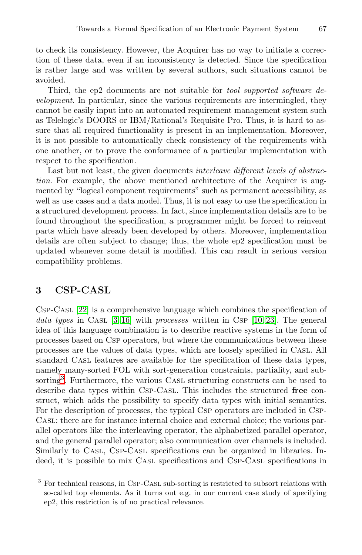to check its consistency. However, the Acquirer has no way to initiate a correction of these data, even if an inconsistency is detected. Since the specification is rather large and was written by several authors, such situations cannot be avoided.

Third, the ep2 documents are not suitable for *tool supported software development*. In particular, since the various requirements are intermingled, they cannot be easily input into an automated requirement management system such as Telelogic's DOORS or IBM/Rational's Requisite Pro. Thus, it is hard to assure that all required functionality is present in an implementation. Moreover, it is not possible to automatically check consistency of the requirements with one another, or to prove the conformance of a particular implementation with respect to the specification.

Last but not least, the given documents *interleave different levels of abstraction*. For example, the above mentioned architecture of the Acquirer is augmented by "logical component requirements" such as permanent accessibility, as well as use cases and a data model. Thus, it is not easy to use the specification in a structured development process. In fact, since implementation details are to be found throughout the specification, a programmer might be forced to reinvent parts which have already been developed by others. Moreover, implementation details are often subject to change; thus, the whole ep2 specification must be updated whenever some detail is modified. This can result in serious version compatibility problems.

#### **3 CSP-CASL**

Csp-Casl [\[22\]](#page-17-0) is a comprehensive language which combines the specification of *data types* in Casl [\[3,](#page-16-0) [16\]](#page-17-0) with *processes* written in Csp [\[10,](#page-16-0) [23\]](#page-17-0). The general idea of this language combination is to describe reactive systems in the form of processes based on Csp operators, but where the communications between these processes are the values of data types, which are loosely specified in Casl. All standard Casl features are available for the specification of these data types, namely many-sorted FOL with sort-generation constraints, partiality, and subsorting<sup>3</sup>. Furthermore, the various CASL structuring constructs can be used to describe data types within Csp-Casl. This includes the structured **free** construct, which adds the possibility to specify data types with initial semantics. For the description of processes, the typical Csp operators are included in Csp-Casl: there are for instance internal choice and external choice; the various parallel operators like the interleaving operator, the alphabetized parallel operator, and the general parallel operator; also communication over channels is included. Similarly to Casl, Csp-Casl specifications can be organized in libraries. Indeed, it is possible to mix CASL specifications and CSP-CASL specifications in

<sup>3</sup> For technical reasons, in Csp-Casl sub-sorting is restricted to subsort relations with so-called top elements. As it turns out e.g. in our current case study of specifying ep2, this restriction is of no practical relevance.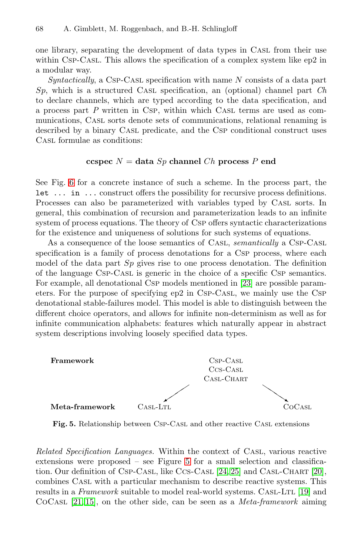one library, separating the development of data types in Casl from their use within Csp-Casl. This allows the specification of a complex system like ep2 in a modular way.

*Syntactically*, a Csp-Casl specification with name N consists of a data part Sp, which is a structured Casl specification, an (optional) channel part *Ch* to declare channels, which are typed according to the data specification, and a process part *P* written in Csp, within which Casl terms are used as communications, Casl sorts denote sets of communications, relational renaming is described by a binary CASL predicate, and the CSP conditional construct uses CASL formulae as conditions:

#### **ccspec**  $N =$  **data**  $Sp$  **channel**  $Ch$  **process** P **end**

See Fig. [6](#page-8-0) for a concrete instance of such a scheme. In the process part, the let ... in ... construct offers the possibility for recursive process definitions. Processes can also be parameterized with variables typed by CASL sorts. In general, this combination of recursion and parameterization leads to an infinite system of process equations. The theory of CsP offers syntactic characterizations for the existence and uniqueness of solutions for such systems of equations.

As a consequence of the loose semantics of CASL, *semantically* a CSP-CASL specification is a family of process denotations for a Csp process, where each model of the data part  $Sp$  gives rise to one process denotation. The definition of the language Csp-Casl is generic in the choice of a specific Csp semantics. For example, all denotational Csp models mentioned in [\[23\]](#page-17-0) are possible parameters. For the purpose of specifying ep2 in Csp-Casl, we mainly use the Csp denotational stable-failures model. This model is able to distinguish between the different choice operators, and allows for infinite non-determinism as well as for infinite communication alphabets: features which naturally appear in abstract system descriptions involving loosely specified data types.



Fig. 5. Relationship between Csp-Cas<sub>L</sub> and other reactive CasL extensions

*Related Specification Languages.* Within the context of Casl, various reactive extensions were proposed – see Figure 5 for a small selection and classifica-tion. Our definition of Csp-Casl, like Ccs-Casl [\[24, 25\]](#page-17-0) and Casl-Charl [\[20\]](#page-17-0), combines Casl with a particular mechanism to describe reactive systems. This results in a *Framework* suitable to model real-world systems. CASL-LTL [\[19\]](#page-17-0) and CoCasl [\[21, 15\]](#page-17-0), on the other side, can be seen as a *Meta-framework* aiming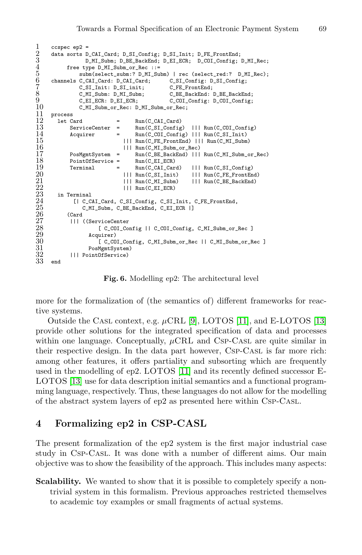```
\begin{array}{ccc} 1 & \text{cosec ep2} = \ 2 & \text{data sorts D} \\ 3 & \text{D} \end{array}2 data sorts D_CAI_Card; D_SI_Config; D_SI_Init; D_FE_FrontEnd;
3 D_MI_Subm; D_BE_BackEnd; D_EI_ECR; D_COI_Config; D_MI_Rec;<br>4 free type D_MI_Subm_or_Rec ::=<br>5 subm(select_subm:? D_MI_Subm) | rec (select_red:? D_MI_Rec);<br>6 channels C_CAI_Card: D_CAI_Card; C_SI_Config: D_SI_Config;<br>6 C_
                4 free type D_MI_Subm_or_Rec ::=
                      subm(select_subm:? D_MI_Subm) | rec (select_red:? D_MI_Rec);<br>C_CAI_Card: D_CAI_Card; C_SI_Config: D_SI_Config;
        channels C_CAI_Card: D_CAI_Card; C_SI_Config: D<br>C_SI_Init: D_SI_init; C_FE_FrontEnd;
                      C_SI_Init: D_SI_init;<br>C_MI_Subm: D_MI_Subm;
                      C_MI_Subm: D_MI_Subm; <br> C_BE_BackEnd: D_BE_BackEnd: C_EI_ECR: C_COI_Config: D_COI_Config;
9 C_EI_ECR: D_EI_ECR; C_COI_Config: D_COI_Config;<br>10 C_MI_Subm_or_Rec: D_MI_Subm_or_Rec;<br>11 process
                      \mathtt{C\_MI\_Subm\_or\_Rec} : <code>D_MI_Subm_or_Rec;</code>
\begin{array}{cc} 11 & \text{process} \\ 12 & \text{let Card} \end{array}12 let Card = Run(C_CAI_Card)<br>13 ServiceCenter = Run(C_SI_Config
13 ServiceCenter = Run(C_SI_Config) ||| Run(C_COI_Config)<br>14 Acquirer = Run(C_COI_Config) ||| Run(C_SI_Init)
14 Acquirer = Run(C_COI_Config) ||| Run(C_SI_Init)<br>15 ||| Run(C_FE_FrontEnd) ||| Run(C_MI_Subm<br>16 ||| Run(C_MI_Subm_or_Rec)
                                             15 ||| Run(C_FE_FrontEnd) ||| Run(C_MI_Subm)
16 || Run(C_MI_Subm_or_Rec)<br>17 PosMgmtSystem = Run(C_BE_BackEnd) ||
17 PosMgmtSystem = Run(C_BE_BackEnd) ||| Run(C_MI_Subm_or_Rec)
18 PointOfService = Run(C_EI_ECR)<br>19 Terminal = Run(C_CAI_Card)
19 Terminal = Run(C_CAI_Card) ||| Run(C_SI_Config)<br>20   ||| Run(C_SI_Init) ||| Run(C_FE_FrontEn
20 ||| Run(C_SI_Init) ||| Run(C_FE_FrontEnd)<br>
22 || Run(C_MI_Subm) ||| Run(C_BE_BackEnd)<br>
23 in Terminal<br>
24 [| C_CAI_Card, C_SI_Config, C_SI_Init, C_FE_FrontEnd,<br>
25 C_MI_Subm, C_BE_BackEnd, C_EI_ECR |]<br>
26 (Card
                                                                                 ||| Run(C_BE_BackEnd)
                                              22 ||| Run(C_EI_ECR)
           in Terminal
                   [| C_CAI_Card, C_SI_Config, C_SI_Init, C_FE_FrontEnd,
                        25 C_MI_Subm, C_BE_BackEnd, C_EI_ECR |]
\frac{26}{27} (Card)
27 || ((ServiceCenter<br>28 [ C_COI_Co
28 [ C_COI_Config || C_COI_Config, C_MI_Subm_or_Rec ]<br>29       Acquirer)
29 Acquirer)<br>30 [C_CO
30 [ C_COI_Config, C_MI_Subm_or_Rec || C_MI_Subm_or_Rec ]<br>31 PosMgmtSystem)<br>32 || PointOfService)
                           PosMgmtSystem)
                  32 ||| PointOfService)
33 end
```
**Fig. 6.** Modelling ep2: The architectural level

more for the formalization of (the semantics of) different frameworks for reactive systems.

Outside the CASL context, e.g.  $\mu$ CRL [\[9\]](#page-16-0), LOTOS [\[11\]](#page-16-0), and E-LOTOS [\[13\]](#page-16-0) provide other solutions for the integrated specification of data and processes within one language. Conceptually,  $\mu$ CRL and CsP-CAsL are quite similar in their respective design. In the data part however, Csp-Casl is far more rich: among other features, it offers partiality and subsorting which are frequently used in the modelling of ep2. LOTOS [\[11\]](#page-16-0) and its recently defined successor E-LOTOS [\[13\]](#page-16-0) use for data description initial semantics and a functional programming language, respectively. Thus, these languages do not allow for the modelling of the abstract system layers of ep2 as presented here within Csp-Casl.

## **4 Formalizing ep2 in CSP-CASL**

The present formalization of the ep2 system is the first major industrial case study in Csp-Casl. It was done with a number of different aims. Our main objective was to show the feasibility of the approach. This includes many aspects:

**Scalability.** We wanted to show that it is possible to completely specify a nontrivial system in this formalism. Previous approaches restricted themselves to academic toy examples or small fragments of actual systems.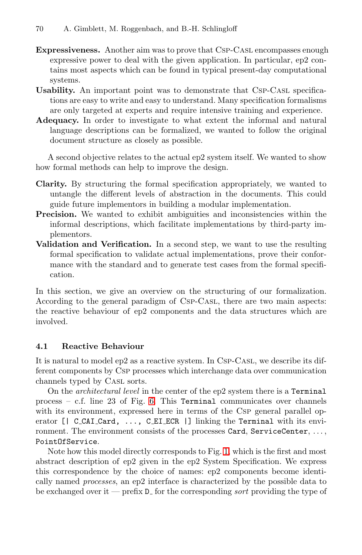- <span id="page-9-0"></span>**Expressiveness.** Another aim was to prove that Csp-Casl encompasses enough expressive power to deal with the given application. In particular, ep2 contains most aspects which can be found in typical present-day computational systems.
- Usability. An important point was to demonstrate that Csp-Casl specifications are easy to write and easy to understand. Many specification formalisms are only targeted at experts and require intensive training and experience.
- **Adequacy.** In order to investigate to what extent the informal and natural language descriptions can be formalized, we wanted to follow the original document structure as closely as possible.

A second objective relates to the actual ep2 system itself. We wanted to show how formal methods can help to improve the design.

- **Clarity.** By structuring the formal specification appropriately, we wanted to untangle the different levels of abstraction in the documents. This could guide future implementors in building a modular implementation.
- **Precision.** We wanted to exhibit ambiguities and inconsistencies within the informal descriptions, which facilitate implementations by third-party implementors.
- **Validation and Verification.** In a second step, we want to use the resulting formal specification to validate actual implementations, prove their conformance with the standard and to generate test cases from the formal specification.

In this section, we give an overview on the structuring of our formalization. According to the general paradigm of Csp-Casl, there are two main aspects: the reactive behaviour of ep2 components and the data structures which are involved.

## **4.1 Reactive Behaviour**

It is natural to model ep2 as a reactive system. In Csp-Casl, we describe its different components by Csp processes which interchange data over communication channels typed by Casl sorts.

On the *architectural level* in the center of the ep2 system there is a Terminal process – c.f. line 23 of Fig.  $6$ . This Terminal communicates over channels with its environment, expressed here in terms of the CsP general parallel operator [| C\_CAI\_Card, ..., C\_EI\_ECR |] linking the Terminal with its environment. The environment consists of the processes Card, ServiceCenter, ..., PointOfService.

Note how this model directly corresponds to Fig. [1,](#page-2-0) which is the first and most abstract description of ep2 given in the ep2 System Specification. We express this correspondence by the choice of names: ep2 components become identically named *processes*, an ep2 interface is characterized by the possible data to be exchanged over it — prefix  $D_$  for the corresponding *sort* providing the type of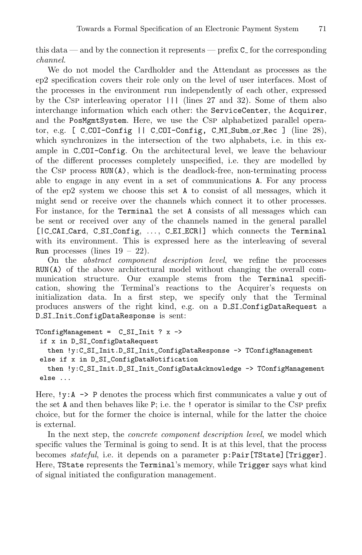this data — and by the connection it represents — prefix  $C<sub>-</sub>$  for the corresponding *channel*.

We do not model the Cardholder and the Attendant as processes as the ep2 specification covers their role only on the level of user interfaces. Most of the processes in the environment run independently of each other, expressed by the Csp interleaving operator ||| (lines 27 and 32). Some of them also interchange information which each other: the ServiceCenter, the Acquirer, and the PosMgmtSystem. Here, we use the Csp alphabetized parallel operator, e.g. [ C\_COI-Config || C\_COI-Config, C\_MI\_Subm\_or\_Rec ] (line 28), which synchronizes in the intersection of the two alphabets, i.e. in this example in C COI-Config. On the architectural level, we leave the behaviour of the different processes completely unspecified, i.e. they are modelled by the Csp process RUN(A), which is the deadlock-free, non-terminating process able to engage in any event in a set of communications A. For any process of the ep2 system we choose this set A to consist of all messages, which it might send or receive over the channels which connect it to other processes. For instance, for the Terminal the set A consists of all messages which can be sent or received over any of the channels named in the general parallel [ $|C_CCALCard, C_SIConfig, ..., C_EICCR|$ ] which connects the Terminal with its environment. This is expressed here as the interleaving of several Run processes (lines  $19 - 22$ ).

On the *abstract component description level*, we refine the processes RUN(A) of the above architectural model without changing the overall communication structure. Our example stems from the Terminal specification, showing the Terminal's reactions to the Acquirer's requests on initialization data. In a first step, we specify only that the Terminal produces answers of the right kind, e.g. on a D SI ConfigDataRequest a D SI Init ConfigDataResponse is sent:

```
TConfigManagement = C_SI_Init ? x ->
 if x in D_SI_ConfigDataRequest
   then !y:C_SI_Init.D_SI_Init_ConfigDataResponse -> TConfigManagement
else if x in D_SI_ConfigDataNotification
   then !y:C_SI_Init.D_SI_Init_ConfigDataAcknowledge -> TConfigManagement
else ...
```
Here,  $!y:A \rightarrow P$  denotes the process which first communicates a value y out of the set A and then behaves like P; i.e. the ! operator is similar to the Csp prefix choice, but for the former the choice is internal, while for the latter the choice is external.

In the next step, the *concrete component description level*, we model which specific values the Terminal is going to send. It is at this level, that the process becomes *stateful*, i.e. it depends on a parameter p:Pair[TState][Trigger]. Here, TState represents the Terminal's memory, while Trigger says what kind of signal initiated the configuration management.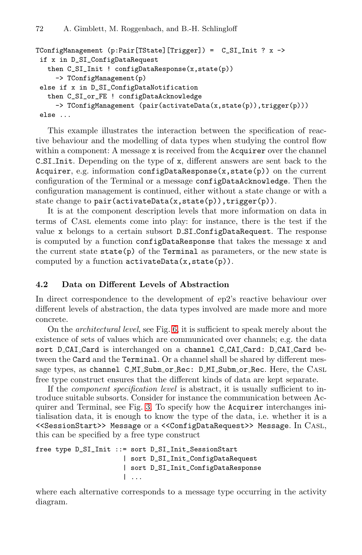```
TConfigManagement (p:Pair[TState][Trigger]) = C_SI_Init ? x ->
 if x in D_SI_ConfigDataRequest
  then C_SI_Init ! configDataResponse(x,state(p))
     -> TConfigManagement(p)
 else if x in D_SI_ConfigDataNotification
   then C_SI_or_FE ! configDataAcknowledge
     -> TConfigManagement (pair(activateData(x,state(p)),trigger(p)))
 else ...
```
This example illustrates the interaction between the specification of reactive behaviour and the modelling of data types when studying the control flow within a component: A message x is received from the Acquirer over the channel C SI Init. Depending on the type of x, different answers are sent back to the Acquirer, e.g. information configDataResponse $(x, state(p))$  on the current configuration of the Terminal or a message configDataAcknowledge. Then the configuration management is continued, either without a state change or with a state change to  $pair(activatedData(x,state(p)), trigger(p)).$ 

It is at the component description levels that more information on data in terms of Casl elements come into play: for instance, there is the test if the value x belongs to a certain subsort D SI ConfigDataRequest. The response is computed by a function configDataResponse that takes the message x and the current state  $(\mathbf{p})$  of the Terminal as parameters, or the new state is computed by a function  $\text{activeData}(x, \text{state}(p))$ .

#### **4.2 Data on Different Levels of Abstraction**

In direct correspondence to the development of ep2's reactive behaviour over different levels of abstraction, the data types involved are made more and more concrete.

On the *architectural level*, see Fig. [6,](#page-8-0) it is sufficient to speak merely about the existence of sets of values which are communicated over channels; e.g. the data sort D CAI Card is interchanged on a channel C CAI Card: D CAI Card between the Card and the Terminal. Or a channel shall be shared by different message types, as channel C\_MI\_Subm\_or\_Rec: D\_MI\_Subm\_or\_Rec. Here, the CASL free type construct ensures that the different kinds of data are kept separate.

If the *component specification level* is abstract, it is usually sufficient to introduce suitable subsorts. Consider for instance the communication between Acquirer and Terminal, see Fig. [3.](#page-4-0) To specify how the Acquirer interchanges initialisation data, it is enough to know the type of the data, i.e. whether it is a <<SessionStart>> Message or a <<ConfigDataRequest>> Message. In Casl, this can be specified by a free type construct

```
free type D_SI_Init ::= sort D_SI_Init_SessionStart
                      | sort D_SI_Init_ConfigDataRequest
                      | sort D_SI_Init_ConfigDataResponse
                      | ...
```
where each alternative corresponds to a message type occurring in the activity diagram.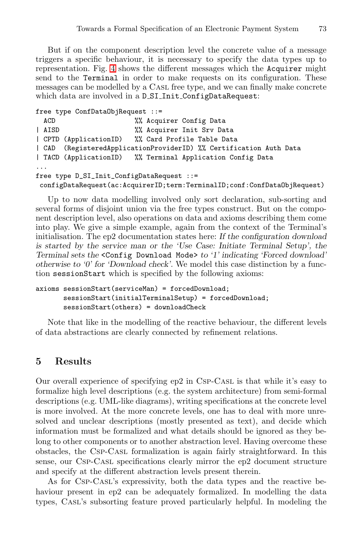But if on the component description level the concrete value of a message triggers a specific behaviour, it is necessary to specify the data types up to representation. Fig. [4](#page-5-0) shows the different messages which the Acquirer might send to the Terminal in order to make requests on its configuration. These messages can be modelled by a Casl free type, and we can finally make concrete which data are involved in a D\_SI\_Init\_ConfigDataRequest:

```
free type ConfDataObjRequest ::=
 ACD \% Acquirer Config Data
| AISD %% Acquirer Init Srv Data
| CPTD (ApplicationID) %% Card Profile Table Data
| CAD (RegisteredApplicationProviderID) %% Certification Auth Data
| TACD (ApplicationID) %% Terminal Application Config Data
...
free type D_SI_Init_ConfigDataRequest ::=
 configDataRequest(ac:AcquirerID;term:TerminalID;conf:ConfDataObjRequest)
```
Up to now data modelling involved only sort declaration, sub-sorting and several forms of disjoint union via the free types construct. But on the component description level, also operations on data and axioms describing them come into play. We give a simple example, again from the context of the Terminal's initialisation. The ep2 documentation states here: *If the configuration download is started by the service man or the 'Use Case: Initiate Terminal Setup', the Terminal sets the* <Config Download Mode> *to '1' indicating 'Forced download' otherwise to '0' for 'Download check'.* We model this case distinction by a function sessionStart which is specified by the following axioms:

```
axioms sessionStart(serviceMan) = forcedDownload;
       sessionStart(initialTerminalSetup) = forcedDownload;
       sessionStart(others) = downloadCheck
```
Note that like in the modelling of the reactive behaviour, the different levels of data abstractions are clearly connected by refinement relations.

#### **5 Results**

Our overall experience of specifying ep2 in Csp-Casl is that while it's easy to formalize high level descriptions (e.g. the system architecture) from semi-formal descriptions (e.g. UML-like diagrams), writing specifications at the concrete level is more involved. At the more concrete levels, one has to deal with more unresolved and unclear descriptions (mostly presented as text), and decide which information must be formalized and what details should be ignored as they belong to other components or to another abstraction level. Having overcome these obstacles, the Csp-Casl formalization is again fairly straightforward. In this sense, our Csp-Casl specifications clearly mirror the ep2 document structure and specify at the different abstraction levels present therein.

As for Csp-Casl's expressivity, both the data types and the reactive behaviour present in ep2 can be adequately formalized. In modelling the data types, Casl's subsorting feature proved particularly helpful. In modeling the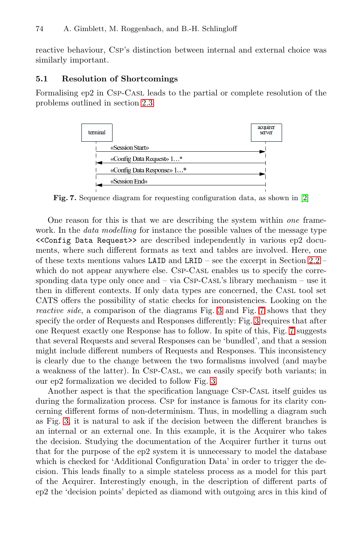reactive behaviour, Csp's distinction between internal and external choice was similarly important.

#### **5.1 Resolution of Shortcomings**

Formalising ep2 in Csp-Casl leads to the partial or complete resolution of the problems outlined in section [2.3.](#page-5-0)



**Fig. 7.** Sequence diagram for requesting configuration data, as shown in [\[2\]](#page-16-0)

One reason for this is that we are describing the system within *one* framework. In the *data modelling* for instance the possible values of the message type <<Config Data Request>> are described independently in various ep2 documents, where such different formats as text and tables are involved. Here, one of these texts mentions values LAID and LRID – see the excerpt in Section [2.2](#page-2-0) – which do not appear anywhere else. Csp-Cast enables us to specify the corresponding data type only once and  $-$  via Csp-Cast's library mechanism  $-$  use it then in different contexts. If only data types are concerned, the CASL tool set CATS offers the possibility of static checks for inconsistencies. Looking on the *reactive side*, a comparison of the diagrams Fig. [3](#page-4-0) and Fig. 7 shows that they specify the order of Requests and Responses differently: Fig. [3](#page-4-0) requires that after one Request exactly one Response has to follow. In spite of this, Fig. 7 suggests that several Requests and several Responses can be 'bundled', and that a session might include different numbers of Requests and Responses. This inconsistency is clearly due to the change between the two formalisms involved (and maybe a weakness of the latter). In Csp-Casl, we can easily specify both variants; in our ep2 formalization we decided to follow Fig. [3.](#page-4-0)

Another aspect is that the specification language Csp-Casl itself guides us during the formalization process. Csp for instance is famous for its clarity concerning different forms of non-determinism. Thus, in modelling a diagram such as Fig. [3,](#page-4-0) it is natural to ask if the decision between the different branches is an internal or an external one. In this example, it is the Acquirer who takes the decision. Studying the documentation of the Acquirer further it turns out that for the purpose of the ep2 system it is unnecessary to model the database which is checked for 'Additional Configuration Data' in order to trigger the decision. This leads finally to a simple stateless process as a model for this part of the Acquirer. Interestingly enough, in the description of different parts of ep2 the 'decision points' depicted as diamond with outgoing arcs in this kind of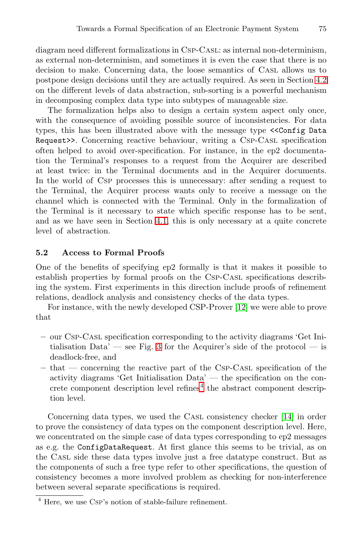diagram need different formalizations in Csp-Casl: as internal non-determinism, as external non-determinism, and sometimes it is even the case that there is no decision to make. Concerning data, the loose semantics of Casl allows us to postpone design decisions until they are actually required. As seen in Section [4.2](#page-11-0) on the different levels of data abstraction, sub-sorting is a powerful mechanism in decomposing complex data type into subtypes of manageable size.

The formalization helps also to design a certain system aspect only once, with the consequence of avoiding possible source of inconsistencies. For data types, this has been illustrated above with the message type  $\leq$ Config Data Request>>. Concerning reactive behaviour, writing a Csp-Casl specification often helped to avoid over-specification. For instance, in the ep2 documentation the Terminal's responses to a request from the Acquirer are described at least twice: in the Terminal documents and in the Acquirer documents. In the world of Csp processes this is unnecessary: after sending a request to the Terminal, the Acquirer process wants only to receive a message on the channel which is connected with the Terminal. Only in the formalization of the Terminal is it necessary to state which specific response has to be sent, and as we have seen in Section [4.1,](#page-9-0) this is only necessary at a quite concrete level of abstraction.

#### **5.2 Access to Formal Proofs**

One of the benefits of specifying ep2 formally is that it makes it possible to establish properties by formal proofs on the Csp-Casl specifications describing the system. First experiments in this direction include proofs of refinement relations, deadlock analysis and consistency checks of the data types.

For instance, with the newly developed CSP-Prover [\[12\]](#page-16-0) we were able to prove that

- **–** our Csp-Casl specification corresponding to the activity diagrams 'Get Ini-tialisation Data' — see Fig. [3](#page-4-0) for the Acquirer's side of the protocol — is deadlock-free, and
- **–** that concerning the reactive part of the Csp-Casl specification of the activity diagrams 'Get Initialisation Data' — the specification on the concrete component description level refines $^4$  the abstract component description level.

Concerning data types, we used the CASL consistency checker [\[14\]](#page-17-0) in order to prove the consistency of data types on the component description level. Here, we concentrated on the simple case of data types corresponding to ep2 messages as e.g. the ConfigDataRequest. At first glance this seems to be trivial, as on the Casl side these data types involve just a free datatype construct. But as the components of such a free type refer to other specifications, the question of consistency becomes a more involved problem as checking for non-interference between several separate specifications is required.

<sup>4</sup> Here, we use Csp's notion of stable-failure refinement.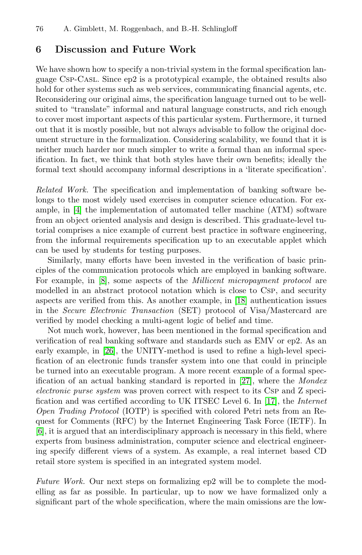## **6 Discussion and Future Work**

We have shown how to specify a non-trivial system in the formal specification language Csp-Casl. Since ep2 is a prototypical example, the obtained results also hold for other systems such as web services, communicating financial agents, etc. Reconsidering our original aims, the specification language turned out to be wellsuited to "translate" informal and natural language constructs, and rich enough to cover most important aspects of this particular system. Furthermore, it turned out that it is mostly possible, but not always advisable to follow the original document structure in the formalization. Considering scalability, we found that it is neither much harder nor much simpler to write a formal than an informal specification. In fact, we think that both styles have their own benefits; ideally the formal text should accompany informal descriptions in a 'literate specification'.

*Related Work.* The specification and implementation of banking software belongs to the most widely used exercises in computer science education. For example, in [\[4\]](#page-16-0) the implementation of automated teller machine (ATM) software from an object oriented analysis and design is described. This graduate-level tutorial comprises a nice example of current best practice in software engineering, from the informal requirements specification up to an executable applet which can be used by students for testing purposes.

Similarly, many efforts have been invested in the verification of basic principles of the communication protocols which are employed in banking software. For example, in [\[8\]](#page-16-0), some aspects of the *Millicent micropayment protocol* are modelled in an abstract protocol notation which is close to Csp, and security aspects are verified from this. As another example, in [\[18\]](#page-17-0) authentication issues in the *Secure Electronic Transaction* (SET) protocol of Visa/Mastercard are verified by model checking a multi-agent logic of belief and time.

Not much work, however, has been mentioned in the formal specification and verification of real banking software and standards such as EMV or ep2. As an early example, in [\[26\]](#page-17-0), the UNITY-method is used to refine a high-level specification of an electronic funds transfer system into one that could in principle be turned into an executable program. A more recent example of a formal specification of an actual banking standard is reported in [\[27\]](#page-17-0), where the *Mondex electronic purse system* was proven correct with respect to its Csp and Z specification and was certified according to UK ITSEC Level 6. In [\[17\]](#page-17-0), the *Internet Open Trading Protocol* (IOTP) is specified with colored Petri nets from an Request for Comments (RFC) by the Internet Engineering Task Force (IETF). In [\[6\]](#page-16-0), it is argued that an interdisciplinary approach is necessary in this field, where experts from business administration, computer science and electrical engineering specify different views of a system. As example, a real internet based CD retail store system is specified in an integrated system model.

*Future Work.* Our next steps on formalizing ep2 will be to complete the modelling as far as possible. In particular, up to now we have formalized only a significant part of the whole specification, where the main omissions are the low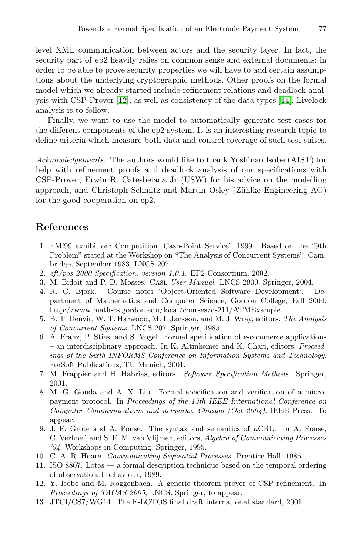<span id="page-16-0"></span>level XML communication between actors and the security layer. In fact, the security part of ep2 heavily relies on common sense and external documents; in order to be able to prove security properties we will have to add certain assumptions about the underlying cryptographic methods. Other proofs on the formal model which we already started include refinement relations and deadlock analysis with CSP-Prover [12], as well as consistency of the data types [\[14\]](#page-17-0). Livelock analysis is to follow.

Finally, we want to use the model to automatically generate test cases for the different components of the ep2 system. It is an interesting research topic to define criteria which measure both data and control coverage of such test suites.

*Acknowledgements.* The authors would like to thank Yoshinao Isobe (AIST) for help with refinement proofs and deadlock analysis of our specifications with CSP-Prover, Erwin R. Catesbeiana Jr (USW) for his advice on the modelling approach, and Christoph Schmitz and Martin Osley (Zühlke Engineering  $AG$ ) for the good cooperation on ep2.

## **References**

- 1. FM'99 exhibition: Competition 'Cash-Point Service', 1999. Based on the "9th Problem" stated at the Workshop on "The Analysis of Concurrent Systems", Cambridge, September 1983, LNCS 207.
- 2. eft/pos 2000 Specification, version 1.0.1. EP2 Consortium, 2002.
- 3. M. Bidoit and P. D. Mosses. Casl User Manual. LNCS 2900. Springer, 2004.
- 4. R. C. Bjork. Course notes 'Object-Oriented Software Development'. Department of Mathematics and Computer Science, Gordon College, Fall 2004. http://www.math-cs.gordon.edu/local/courses/cs211/ATMExample.
- 5. B. T. Denvir, W. T. Harwood, M. I. Jackson, and M. J. Wray, editors. The Analysis of Concurrent Systems, LNCS 207. Springer, 1985.
- 6. A. Franz, P. Sties, and S. Vogel. Formal specification of e-commerce applications – an interdisciplinary approach. In K. Altinkemer and K. Chari, editors, Proceedings of the Sixth INFORMS Conference on Information Systems and Technology. ForSoft Publications, TU Munich, 2001.
- 7. M. Frappier and H. Habrias, editors. Software Specification Methods. Springer, 2001.
- 8. M. G. Gouda and A. X. Liu. Formal specification and verification of a micropayment protocol. In Proceedings of the 13th IEEE International Conference on Computer Communications and networks, Chicago (Oct 2004). IEEE Press. To appear.
- 9. J. F. Grote and A. Ponse. The syntax and semantics of  $\mu$ CRL. In A. Ponse, C. Verhoef, and S. F. M. van Vlijmen, editors, Algebra of Communicating Processes '94, Workshops in Computing. Springer, 1995.
- 10. C. A. R. Hoare. Communicating Sequential Processes. Prentice Hall, 1985.
- 11. ISO 8807. Lotos a formal description technique based on the temporal ordering of observational behaviour, 1989.
- 12. Y. Isobe and M. Roggenbach. A generic theorem prover of CSP refinement. In Proceedings of TACAS 2005, LNCS. Springer, to appear.
- 13. JTCI/CS7/WG14. The E-LOTOS final draft international standard, 2001.